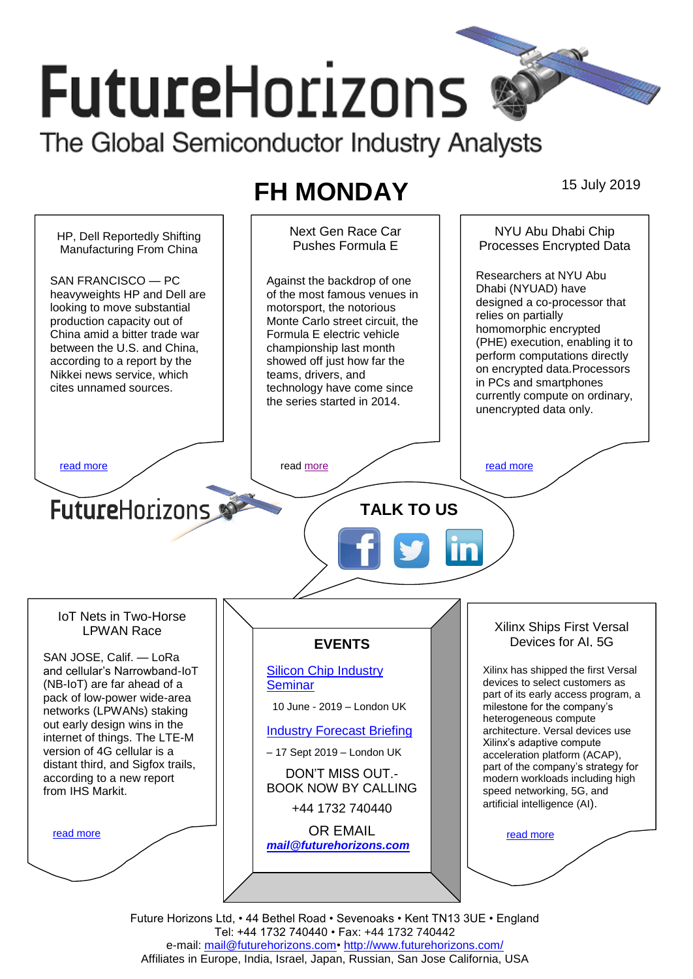# **FutureHorizons** The Global Semiconductor Industry Analysts

## **FH MONDAY** 15 July 2019



Future Horizons Ltd, • 44 Bethel Road • Sevenoaks • Kent TN13 3UE • England Tel: +44 1732 740440 • Fax: +44 1732 740442 e-mail: mail@futurehorizons.com• http://www.futurehorizons.com/ Affiliates in Europe, India, Israel, Japan, Russian, San Jose California, USA